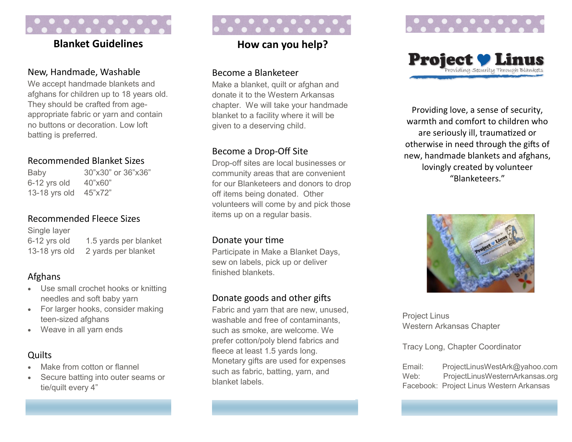## **Blanket Guidelines**

#### New, Handmade, Washable

We accept handmade blankets and afghans for children up to 18 years old. They should be crafted from ageappropriate fabric or yarn and contain no buttons or decoration. Low loft batting is preferred.

### Recommended Blanket Sizes

Baby 30"x30" or 36"x36" 6-12 yrs old 40"x60" 13-18 yrs old 45"x72"

### Recommended Fleece Sizes

Single layer 6-12 yrs old 1.5 yards per blanket 13-18 yrs old 2 yards per blanket

## Afghans

- Use small crochet hooks or knitting needles and soft baby yarn
- For larger hooks, consider making teen-sized afghans
- Weave in all yarn ends

### **Quilts**

- Make from cotton or flannel
- Secure batting into outer seams or tie/quilt every 4"

## **How can you help?**

#### Become a Blanketeer

Make a blanket, quilt or afghan and donate it to the Western Arkansas chapter. We will take your handmade blanket to a facility where it will be given to a deserving child.

### Become a Drop-Off Site

Drop-off sites are local businesses or community areas that are convenient for our Blanketeers and donors to drop off items being donated. Other volunteers will come by and pick those items up on a regular basis.

#### Donate your time

Participate in Make a Blanket Days, sew on labels, pick up or deliver finished blankets.

### Donate goods and other gifts

Fabric and yarn that are new, unused, washable and free of contaminants, such as smoke, are welcome. We prefer cotton/poly blend fabrics and fleece at least 1.5 yards long. Monetary gifts are used for expenses such as fabric, batting, yarn, and blanket labels.





Providing love, a sense of security, warmth and comfort to children who are seriously ill, traumatized or otherwise in need through the gifts of new, handmade blankets and afghans, lovingly created by volunteer "Blanketeers."



Project Linus Western Arkansas Chapter

#### Tracy Long, Chapter Coordinator

Email: ProjectLinusWestArk@yahoo.com Web: ProjectLinusWesternArkansas.org Facebook: Project Linus Western Arkansas